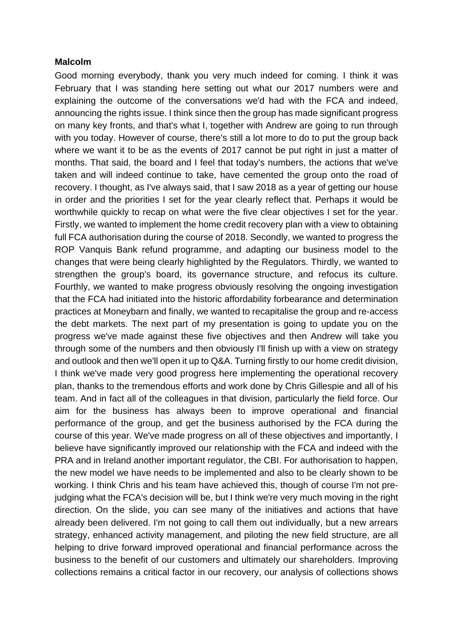### **Malcolm**

Good morning everybody, thank you very much indeed for coming. I think it was February that I was standing here setting out what our 2017 numbers were and explaining the outcome of the conversations we'd had with the FCA and indeed, announcing the rights issue. I think since then the group has made significant progress on many key fronts, and that's what I, together with Andrew are going to run through with you today. However of course, there's still a lot more to do to put the group back where we want it to be as the events of 2017 cannot be put right in just a matter of months. That said, the board and I feel that today's numbers, the actions that we've taken and will indeed continue to take, have cemented the group onto the road of recovery. I thought, as I've always said, that I saw 2018 as a year of getting our house in order and the priorities I set for the year clearly reflect that. Perhaps it would be worthwhile quickly to recap on what were the five clear objectives I set for the year. Firstly, we wanted to implement the home credit recovery plan with a view to obtaining full FCA authorisation during the course of 2018. Secondly, we wanted to progress the ROP Vanquis Bank refund programme, and adapting our business model to the changes that were being clearly highlighted by the Regulators. Thirdly, we wanted to strengthen the group's board, its governance structure, and refocus its culture. Fourthly, we wanted to make progress obviously resolving the ongoing investigation that the FCA had initiated into the historic affordability forbearance and determination practices at Moneybarn and finally, we wanted to recapitalise the group and re-access the debt markets. The next part of my presentation is going to update you on the progress we've made against these five objectives and then Andrew will take you through some of the numbers and then obviously I'll finish up with a view on strategy and outlook and then we'll open it up to Q&A. Turning firstly to our home credit division, I think we've made very good progress here implementing the operational recovery plan, thanks to the tremendous efforts and work done by Chris Gillespie and all of his team. And in fact all of the colleagues in that division, particularly the field force. Our aim for the business has always been to improve operational and financial performance of the group, and get the business authorised by the FCA during the course of this year. We've made progress on all of these objectives and importantly, I believe have significantly improved our relationship with the FCA and indeed with the PRA and in Ireland another important regulator, the CBI. For authorisation to happen, the new model we have needs to be implemented and also to be clearly shown to be working. I think Chris and his team have achieved this, though of course I'm not prejudging what the FCA's decision will be, but I think we're very much moving in the right direction. On the slide, you can see many of the initiatives and actions that have already been delivered. I'm not going to call them out individually, but a new arrears strategy, enhanced activity management, and piloting the new field structure, are all helping to drive forward improved operational and financial performance across the business to the benefit of our customers and ultimately our shareholders. Improving collections remains a critical factor in our recovery, our analysis of collections shows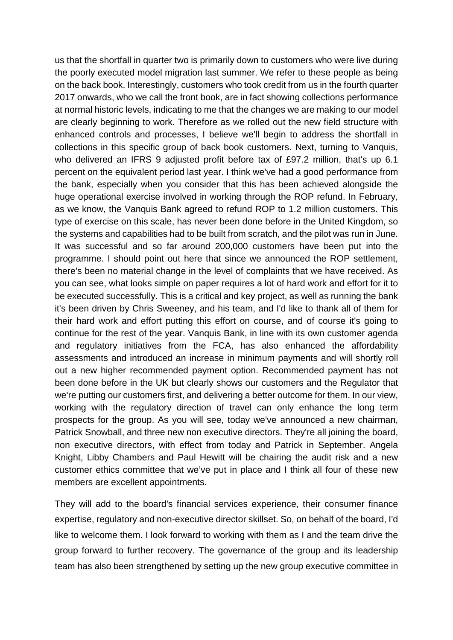us that the shortfall in quarter two is primarily down to customers who were live during the poorly executed model migration last summer. We refer to these people as being on the back book. Interestingly, customers who took credit from us in the fourth quarter 2017 onwards, who we call the front book, are in fact showing collections performance at normal historic levels, indicating to me that the changes we are making to our model are clearly beginning to work. Therefore as we rolled out the new field structure with enhanced controls and processes, I believe we'll begin to address the shortfall in collections in this specific group of back book customers. Next, turning to Vanquis, who delivered an IFRS 9 adjusted profit before tax of £97.2 million, that's up 6.1 percent on the equivalent period last year. I think we've had a good performance from the bank, especially when you consider that this has been achieved alongside the huge operational exercise involved in working through the ROP refund. In February, as we know, the Vanquis Bank agreed to refund ROP to 1.2 million customers. This type of exercise on this scale, has never been done before in the United Kingdom, so the systems and capabilities had to be built from scratch, and the pilot was run in June. It was successful and so far around 200,000 customers have been put into the programme. I should point out here that since we announced the ROP settlement, there's been no material change in the level of complaints that we have received. As you can see, what looks simple on paper requires a lot of hard work and effort for it to be executed successfully. This is a critical and key project, as well as running the bank it's been driven by Chris Sweeney, and his team, and I'd like to thank all of them for their hard work and effort putting this effort on course, and of course it's going to continue for the rest of the year. Vanquis Bank, in line with its own customer agenda and regulatory initiatives from the FCA, has also enhanced the affordability assessments and introduced an increase in minimum payments and will shortly roll out a new higher recommended payment option. Recommended payment has not been done before in the UK but clearly shows our customers and the Regulator that we're putting our customers first, and delivering a better outcome for them. In our view, working with the regulatory direction of travel can only enhance the long term prospects for the group. As you will see, today we've announced a new chairman, Patrick Snowball, and three new non executive directors. They're all joining the board, non executive directors, with effect from today and Patrick in September. Angela Knight, Libby Chambers and Paul Hewitt will be chairing the audit risk and a new customer ethics committee that we've put in place and I think all four of these new members are excellent appointments.

They will add to the board's financial services experience, their consumer finance expertise, regulatory and non-executive director skillset. So, on behalf of the board, I'd like to welcome them. I look forward to working with them as I and the team drive the group forward to further recovery. The governance of the group and its leadership team has also been strengthened by setting up the new group executive committee in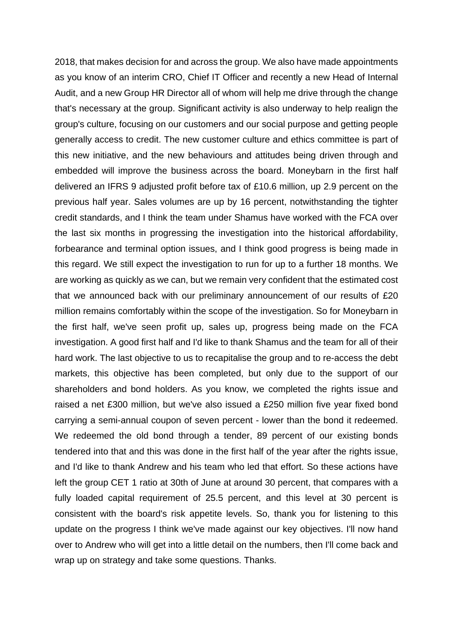2018, that makes decision for and across the group. We also have made appointments as you know of an interim CRO, Chief IT Officer and recently a new Head of Internal Audit, and a new Group HR Director all of whom will help me drive through the change that's necessary at the group. Significant activity is also underway to help realign the group's culture, focusing on our customers and our social purpose and getting people generally access to credit. The new customer culture and ethics committee is part of this new initiative, and the new behaviours and attitudes being driven through and embedded will improve the business across the board. Moneybarn in the first half delivered an IFRS 9 adjusted profit before tax of £10.6 million, up 2.9 percent on the previous half year. Sales volumes are up by 16 percent, notwithstanding the tighter credit standards, and I think the team under Shamus have worked with the FCA over the last six months in progressing the investigation into the historical affordability, forbearance and terminal option issues, and I think good progress is being made in this regard. We still expect the investigation to run for up to a further 18 months. We are working as quickly as we can, but we remain very confident that the estimated cost that we announced back with our preliminary announcement of our results of £20 million remains comfortably within the scope of the investigation. So for Moneybarn in the first half, we've seen profit up, sales up, progress being made on the FCA investigation. A good first half and I'd like to thank Shamus and the team for all of their hard work. The last objective to us to recapitalise the group and to re-access the debt markets, this objective has been completed, but only due to the support of our shareholders and bond holders. As you know, we completed the rights issue and raised a net £300 million, but we've also issued a £250 million five year fixed bond carrying a semi-annual coupon of seven percent - lower than the bond it redeemed. We redeemed the old bond through a tender, 89 percent of our existing bonds tendered into that and this was done in the first half of the year after the rights issue, and I'd like to thank Andrew and his team who led that effort. So these actions have left the group CET 1 ratio at 30th of June at around 30 percent, that compares with a fully loaded capital requirement of 25.5 percent, and this level at 30 percent is consistent with the board's risk appetite levels. So, thank you for listening to this update on the progress I think we've made against our key objectives. I'll now hand over to Andrew who will get into a little detail on the numbers, then I'll come back and wrap up on strategy and take some questions. Thanks.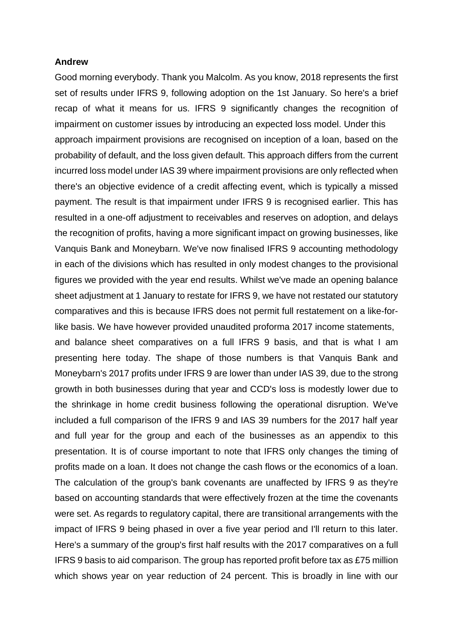#### **Andrew**

Good morning everybody. Thank you Malcolm. As you know, 2018 represents the first set of results under IFRS 9, following adoption on the 1st January. So here's a brief recap of what it means for us. IFRS 9 significantly changes the recognition of impairment on customer issues by introducing an expected loss model. Under this approach impairment provisions are recognised on inception of a loan, based on the probability of default, and the loss given default. This approach differs from the current incurred loss model under IAS 39 where impairment provisions are only reflected when there's an objective evidence of a credit affecting event, which is typically a missed payment. The result is that impairment under IFRS 9 is recognised earlier. This has resulted in a one-off adjustment to receivables and reserves on adoption, and delays the recognition of profits, having a more significant impact on growing businesses, like Vanquis Bank and Moneybarn. We've now finalised IFRS 9 accounting methodology in each of the divisions which has resulted in only modest changes to the provisional figures we provided with the year end results. Whilst we've made an opening balance sheet adjustment at 1 January to restate for IFRS 9, we have not restated our statutory comparatives and this is because IFRS does not permit full restatement on a like-forlike basis. We have however provided unaudited proforma 2017 income statements,

and balance sheet comparatives on a full IFRS 9 basis, and that is what I am presenting here today. The shape of those numbers is that Vanquis Bank and Moneybarn's 2017 profits under IFRS 9 are lower than under IAS 39, due to the strong growth in both businesses during that year and CCD's loss is modestly lower due to the shrinkage in home credit business following the operational disruption. We've included a full comparison of the IFRS 9 and IAS 39 numbers for the 2017 half year and full year for the group and each of the businesses as an appendix to this presentation. It is of course important to note that IFRS only changes the timing of profits made on a loan. It does not change the cash flows or the economics of a loan. The calculation of the group's bank covenants are unaffected by IFRS 9 as they're based on accounting standards that were effectively frozen at the time the covenants were set. As regards to regulatory capital, there are transitional arrangements with the impact of IFRS 9 being phased in over a five year period and I'll return to this later. Here's a summary of the group's first half results with the 2017 comparatives on a full IFRS 9 basis to aid comparison. The group has reported profit before tax as £75 million which shows year on year reduction of 24 percent. This is broadly in line with our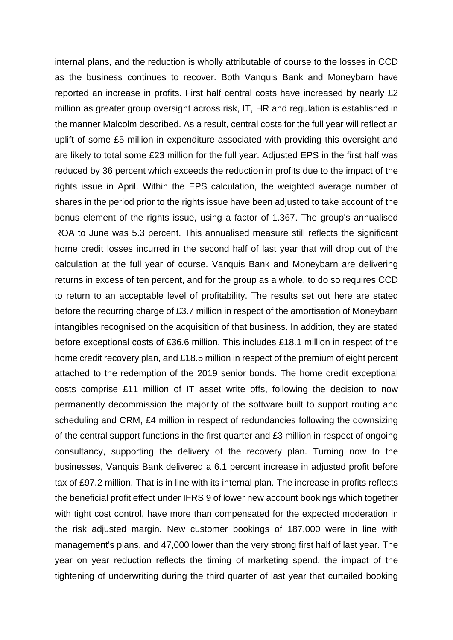internal plans, and the reduction is wholly attributable of course to the losses in CCD as the business continues to recover. Both Vanquis Bank and Moneybarn have reported an increase in profits. First half central costs have increased by nearly £2 million as greater group oversight across risk, IT, HR and regulation is established in the manner Malcolm described. As a result, central costs for the full year will reflect an uplift of some £5 million in expenditure associated with providing this oversight and are likely to total some £23 million for the full year. Adjusted EPS in the first half was reduced by 36 percent which exceeds the reduction in profits due to the impact of the rights issue in April. Within the EPS calculation, the weighted average number of shares in the period prior to the rights issue have been adjusted to take account of the bonus element of the rights issue, using a factor of 1.367. The group's annualised ROA to June was 5.3 percent. This annualised measure still reflects the significant home credit losses incurred in the second half of last year that will drop out of the calculation at the full year of course. Vanquis Bank and Moneybarn are delivering returns in excess of ten percent, and for the group as a whole, to do so requires CCD to return to an acceptable level of profitability. The results set out here are stated before the recurring charge of £3.7 million in respect of the amortisation of Moneybarn intangibles recognised on the acquisition of that business. In addition, they are stated before exceptional costs of £36.6 million. This includes £18.1 million in respect of the home credit recovery plan, and £18.5 million in respect of the premium of eight percent attached to the redemption of the 2019 senior bonds. The home credit exceptional costs comprise £11 million of IT asset write offs, following the decision to now permanently decommission the majority of the software built to support routing and scheduling and CRM, £4 million in respect of redundancies following the downsizing of the central support functions in the first quarter and £3 million in respect of ongoing consultancy, supporting the delivery of the recovery plan. Turning now to the businesses, Vanquis Bank delivered a 6.1 percent increase in adjusted profit before tax of £97.2 million. That is in line with its internal plan. The increase in profits reflects the beneficial profit effect under IFRS 9 of lower new account bookings which together with tight cost control, have more than compensated for the expected moderation in the risk adjusted margin. New customer bookings of 187,000 were in line with management's plans, and 47,000 lower than the very strong first half of last year. The year on year reduction reflects the timing of marketing spend, the impact of the tightening of underwriting during the third quarter of last year that curtailed booking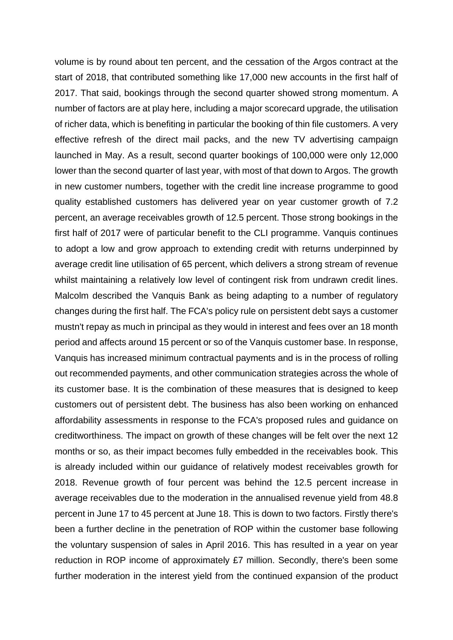volume is by round about ten percent, and the cessation of the Argos contract at the start of 2018, that contributed something like 17,000 new accounts in the first half of 2017. That said, bookings through the second quarter showed strong momentum. A number of factors are at play here, including a major scorecard upgrade, the utilisation of richer data, which is benefiting in particular the booking of thin file customers. A very effective refresh of the direct mail packs, and the new TV advertising campaign launched in May. As a result, second quarter bookings of 100,000 were only 12,000 lower than the second quarter of last year, with most of that down to Argos. The growth in new customer numbers, together with the credit line increase programme to good quality established customers has delivered year on year customer growth of 7.2 percent, an average receivables growth of 12.5 percent. Those strong bookings in the first half of 2017 were of particular benefit to the CLI programme. Vanquis continues to adopt a low and grow approach to extending credit with returns underpinned by average credit line utilisation of 65 percent, which delivers a strong stream of revenue whilst maintaining a relatively low level of contingent risk from undrawn credit lines. Malcolm described the Vanquis Bank as being adapting to a number of regulatory changes during the first half. The FCA's policy rule on persistent debt says a customer mustn't repay as much in principal as they would in interest and fees over an 18 month period and affects around 15 percent or so of the Vanquis customer base. In response, Vanquis has increased minimum contractual payments and is in the process of rolling out recommended payments, and other communication strategies across the whole of its customer base. It is the combination of these measures that is designed to keep customers out of persistent debt. The business has also been working on enhanced affordability assessments in response to the FCA's proposed rules and guidance on creditworthiness. The impact on growth of these changes will be felt over the next 12 months or so, as their impact becomes fully embedded in the receivables book. This is already included within our guidance of relatively modest receivables growth for 2018. Revenue growth of four percent was behind the 12.5 percent increase in average receivables due to the moderation in the annualised revenue yield from 48.8 percent in June 17 to 45 percent at June 18. This is down to two factors. Firstly there's been a further decline in the penetration of ROP within the customer base following the voluntary suspension of sales in April 2016. This has resulted in a year on year reduction in ROP income of approximately £7 million. Secondly, there's been some further moderation in the interest yield from the continued expansion of the product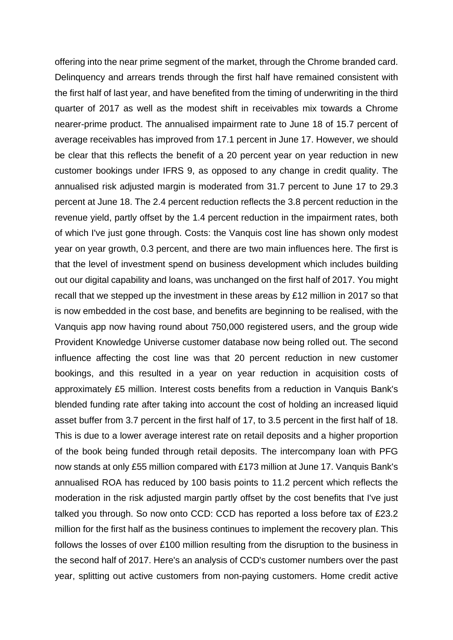offering into the near prime segment of the market, through the Chrome branded card. Delinquency and arrears trends through the first half have remained consistent with the first half of last year, and have benefited from the timing of underwriting in the third quarter of 2017 as well as the modest shift in receivables mix towards a Chrome nearer-prime product. The annualised impairment rate to June 18 of 15.7 percent of average receivables has improved from 17.1 percent in June 17. However, we should be clear that this reflects the benefit of a 20 percent year on year reduction in new customer bookings under IFRS 9, as opposed to any change in credit quality. The annualised risk adjusted margin is moderated from 31.7 percent to June 17 to 29.3 percent at June 18. The 2.4 percent reduction reflects the 3.8 percent reduction in the revenue yield, partly offset by the 1.4 percent reduction in the impairment rates, both of which I've just gone through. Costs: the Vanquis cost line has shown only modest year on year growth, 0.3 percent, and there are two main influences here. The first is that the level of investment spend on business development which includes building out our digital capability and loans, was unchanged on the first half of 2017. You might recall that we stepped up the investment in these areas by £12 million in 2017 so that is now embedded in the cost base, and benefits are beginning to be realised, with the Vanquis app now having round about 750,000 registered users, and the group wide Provident Knowledge Universe customer database now being rolled out. The second influence affecting the cost line was that 20 percent reduction in new customer bookings, and this resulted in a year on year reduction in acquisition costs of approximately £5 million. Interest costs benefits from a reduction in Vanquis Bank's blended funding rate after taking into account the cost of holding an increased liquid asset buffer from 3.7 percent in the first half of 17, to 3.5 percent in the first half of 18. This is due to a lower average interest rate on retail deposits and a higher proportion of the book being funded through retail deposits. The intercompany loan with PFG now stands at only £55 million compared with £173 million at June 17. Vanquis Bank's annualised ROA has reduced by 100 basis points to 11.2 percent which reflects the moderation in the risk adjusted margin partly offset by the cost benefits that I've just talked you through. So now onto CCD: CCD has reported a loss before tax of £23.2 million for the first half as the business continues to implement the recovery plan. This follows the losses of over £100 million resulting from the disruption to the business in the second half of 2017. Here's an analysis of CCD's customer numbers over the past year, splitting out active customers from non-paying customers. Home credit active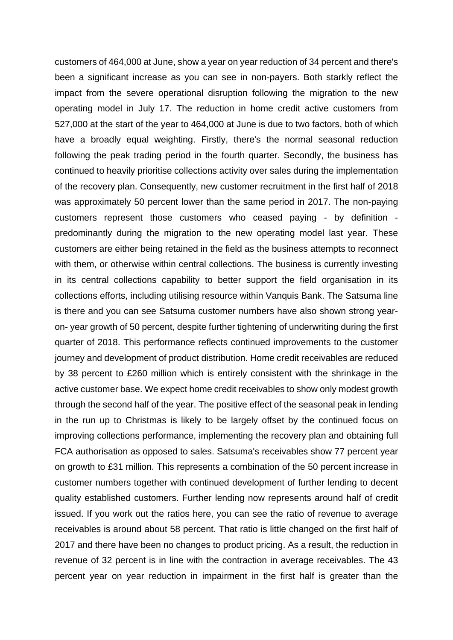customers of 464,000 at June, show a year on year reduction of 34 percent and there's been a significant increase as you can see in non-payers. Both starkly reflect the impact from the severe operational disruption following the migration to the new operating model in July 17. The reduction in home credit active customers from 527,000 at the start of the year to 464,000 at June is due to two factors, both of which have a broadly equal weighting. Firstly, there's the normal seasonal reduction following the peak trading period in the fourth quarter. Secondly, the business has continued to heavily prioritise collections activity over sales during the implementation of the recovery plan. Consequently, new customer recruitment in the first half of 2018 was approximately 50 percent lower than the same period in 2017. The non-paying customers represent those customers who ceased paying - by definition predominantly during the migration to the new operating model last year. These customers are either being retained in the field as the business attempts to reconnect with them, or otherwise within central collections. The business is currently investing in its central collections capability to better support the field organisation in its collections efforts, including utilising resource within Vanquis Bank. The Satsuma line is there and you can see Satsuma customer numbers have also shown strong yearon- year growth of 50 percent, despite further tightening of underwriting during the first quarter of 2018. This performance reflects continued improvements to the customer journey and development of product distribution. Home credit receivables are reduced by 38 percent to £260 million which is entirely consistent with the shrinkage in the active customer base. We expect home credit receivables to show only modest growth through the second half of the year. The positive effect of the seasonal peak in lending in the run up to Christmas is likely to be largely offset by the continued focus on improving collections performance, implementing the recovery plan and obtaining full FCA authorisation as opposed to sales. Satsuma's receivables show 77 percent year on growth to £31 million. This represents a combination of the 50 percent increase in customer numbers together with continued development of further lending to decent quality established customers. Further lending now represents around half of credit issued. If you work out the ratios here, you can see the ratio of revenue to average receivables is around about 58 percent. That ratio is little changed on the first half of 2017 and there have been no changes to product pricing. As a result, the reduction in revenue of 32 percent is in line with the contraction in average receivables. The 43 percent year on year reduction in impairment in the first half is greater than the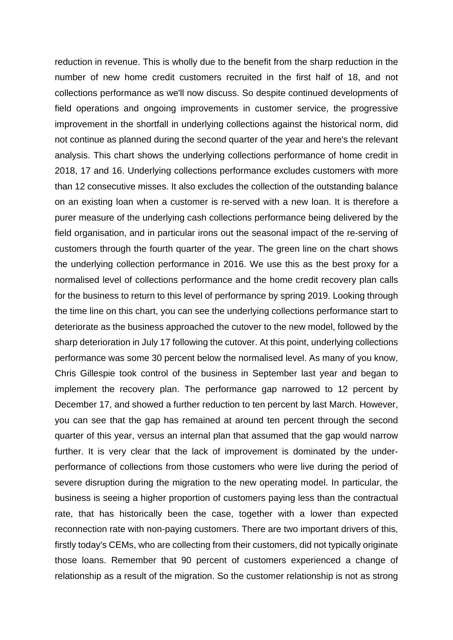reduction in revenue. This is wholly due to the benefit from the sharp reduction in the number of new home credit customers recruited in the first half of 18, and not collections performance as we'll now discuss. So despite continued developments of field operations and ongoing improvements in customer service, the progressive improvement in the shortfall in underlying collections against the historical norm, did not continue as planned during the second quarter of the year and here's the relevant analysis. This chart shows the underlying collections performance of home credit in 2018, 17 and 16. Underlying collections performance excludes customers with more than 12 consecutive misses. It also excludes the collection of the outstanding balance on an existing loan when a customer is re-served with a new loan. It is therefore a purer measure of the underlying cash collections performance being delivered by the field organisation, and in particular irons out the seasonal impact of the re-serving of customers through the fourth quarter of the year. The green line on the chart shows the underlying collection performance in 2016. We use this as the best proxy for a normalised level of collections performance and the home credit recovery plan calls for the business to return to this level of performance by spring 2019. Looking through the time line on this chart, you can see the underlying collections performance start to deteriorate as the business approached the cutover to the new model, followed by the sharp deterioration in July 17 following the cutover. At this point, underlying collections performance was some 30 percent below the normalised level. As many of you know, Chris Gillespie took control of the business in September last year and began to implement the recovery plan. The performance gap narrowed to 12 percent by December 17, and showed a further reduction to ten percent by last March. However, you can see that the gap has remained at around ten percent through the second quarter of this year, versus an internal plan that assumed that the gap would narrow further. It is very clear that the lack of improvement is dominated by the underperformance of collections from those customers who were live during the period of severe disruption during the migration to the new operating model. In particular, the business is seeing a higher proportion of customers paying less than the contractual rate, that has historically been the case, together with a lower than expected reconnection rate with non-paying customers. There are two important drivers of this, firstly today's CEMs, who are collecting from their customers, did not typically originate those loans. Remember that 90 percent of customers experienced a change of relationship as a result of the migration. So the customer relationship is not as strong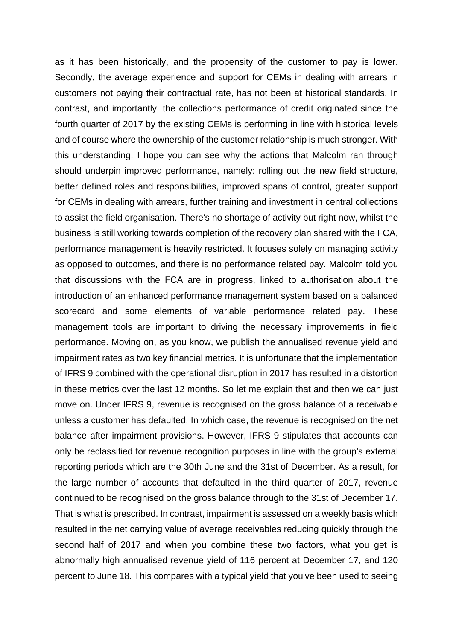as it has been historically, and the propensity of the customer to pay is lower. Secondly, the average experience and support for CEMs in dealing with arrears in customers not paying their contractual rate, has not been at historical standards. In contrast, and importantly, the collections performance of credit originated since the fourth quarter of 2017 by the existing CEMs is performing in line with historical levels and of course where the ownership of the customer relationship is much stronger. With this understanding, I hope you can see why the actions that Malcolm ran through should underpin improved performance, namely: rolling out the new field structure, better defined roles and responsibilities, improved spans of control, greater support for CEMs in dealing with arrears, further training and investment in central collections to assist the field organisation. There's no shortage of activity but right now, whilst the business is still working towards completion of the recovery plan shared with the FCA, performance management is heavily restricted. It focuses solely on managing activity as opposed to outcomes, and there is no performance related pay. Malcolm told you that discussions with the FCA are in progress, linked to authorisation about the introduction of an enhanced performance management system based on a balanced scorecard and some elements of variable performance related pay. These management tools are important to driving the necessary improvements in field performance. Moving on, as you know, we publish the annualised revenue yield and impairment rates as two key financial metrics. It is unfortunate that the implementation of IFRS 9 combined with the operational disruption in 2017 has resulted in a distortion in these metrics over the last 12 months. So let me explain that and then we can just move on. Under IFRS 9, revenue is recognised on the gross balance of a receivable unless a customer has defaulted. In which case, the revenue is recognised on the net balance after impairment provisions. However, IFRS 9 stipulates that accounts can only be reclassified for revenue recognition purposes in line with the group's external reporting periods which are the 30th June and the 31st of December. As a result, for the large number of accounts that defaulted in the third quarter of 2017, revenue continued to be recognised on the gross balance through to the 31st of December 17. That is what is prescribed. In contrast, impairment is assessed on a weekly basis which resulted in the net carrying value of average receivables reducing quickly through the second half of 2017 and when you combine these two factors, what you get is abnormally high annualised revenue yield of 116 percent at December 17, and 120 percent to June 18. This compares with a typical yield that you've been used to seeing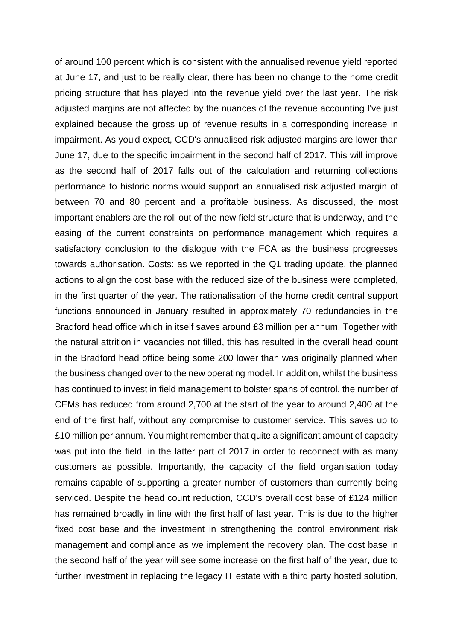of around 100 percent which is consistent with the annualised revenue yield reported at June 17, and just to be really clear, there has been no change to the home credit pricing structure that has played into the revenue yield over the last year. The risk adjusted margins are not affected by the nuances of the revenue accounting I've just explained because the gross up of revenue results in a corresponding increase in impairment. As you'd expect, CCD's annualised risk adjusted margins are lower than June 17, due to the specific impairment in the second half of 2017. This will improve as the second half of 2017 falls out of the calculation and returning collections performance to historic norms would support an annualised risk adjusted margin of between 70 and 80 percent and a profitable business. As discussed, the most important enablers are the roll out of the new field structure that is underway, and the easing of the current constraints on performance management which requires a satisfactory conclusion to the dialogue with the FCA as the business progresses towards authorisation. Costs: as we reported in the Q1 trading update, the planned actions to align the cost base with the reduced size of the business were completed, in the first quarter of the year. The rationalisation of the home credit central support functions announced in January resulted in approximately 70 redundancies in the Bradford head office which in itself saves around £3 million per annum. Together with the natural attrition in vacancies not filled, this has resulted in the overall head count in the Bradford head office being some 200 lower than was originally planned when the business changed over to the new operating model. In addition, whilst the business has continued to invest in field management to bolster spans of control, the number of CEMs has reduced from around 2,700 at the start of the year to around 2,400 at the end of the first half, without any compromise to customer service. This saves up to £10 million per annum. You might remember that quite a significant amount of capacity was put into the field, in the latter part of 2017 in order to reconnect with as many customers as possible. Importantly, the capacity of the field organisation today remains capable of supporting a greater number of customers than currently being serviced. Despite the head count reduction, CCD's overall cost base of £124 million has remained broadly in line with the first half of last year. This is due to the higher fixed cost base and the investment in strengthening the control environment risk management and compliance as we implement the recovery plan. The cost base in the second half of the year will see some increase on the first half of the year, due to further investment in replacing the legacy IT estate with a third party hosted solution,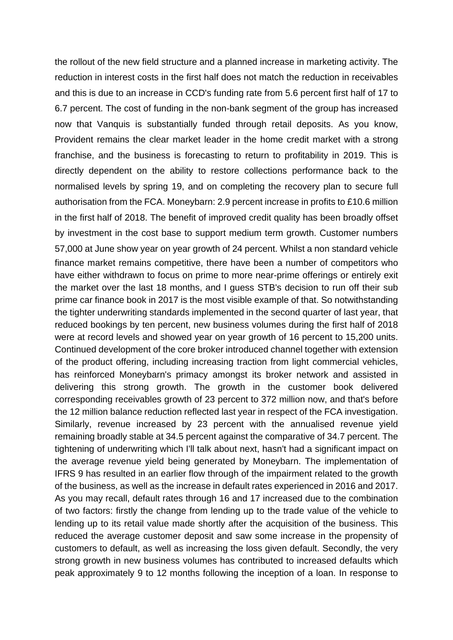the rollout of the new field structure and a planned increase in marketing activity. The reduction in interest costs in the first half does not match the reduction in receivables and this is due to an increase in CCD's funding rate from 5.6 percent first half of 17 to 6.7 percent. The cost of funding in the non-bank segment of the group has increased now that Vanquis is substantially funded through retail deposits. As you know, Provident remains the clear market leader in the home credit market with a strong franchise, and the business is forecasting to return to profitability in 2019. This is directly dependent on the ability to restore collections performance back to the normalised levels by spring 19, and on completing the recovery plan to secure full authorisation from the FCA. Moneybarn: 2.9 percent increase in profits to £10.6 million in the first half of 2018. The benefit of improved credit quality has been broadly offset by investment in the cost base to support medium term growth. Customer numbers 57,000 at June show year on year growth of 24 percent. Whilst a non standard vehicle finance market remains competitive, there have been a number of competitors who have either withdrawn to focus on prime to more near-prime offerings or entirely exit the market over the last 18 months, and I guess STB's decision to run off their sub prime car finance book in 2017 is the most visible example of that. So notwithstanding the tighter underwriting standards implemented in the second quarter of last year, that reduced bookings by ten percent, new business volumes during the first half of 2018 were at record levels and showed year on year growth of 16 percent to 15,200 units. Continued development of the core broker introduced channel together with extension of the product offering, including increasing traction from light commercial vehicles, has reinforced Moneybarn's primacy amongst its broker network and assisted in delivering this strong growth. The growth in the customer book delivered corresponding receivables growth of 23 percent to 372 million now, and that's before the 12 million balance reduction reflected last year in respect of the FCA investigation. Similarly, revenue increased by 23 percent with the annualised revenue yield remaining broadly stable at 34.5 percent against the comparative of 34.7 percent. The tightening of underwriting which I'll talk about next, hasn't had a significant impact on the average revenue yield being generated by Moneybarn. The implementation of IFRS 9 has resulted in an earlier flow through of the impairment related to the growth of the business, as well as the increase in default rates experienced in 2016 and 2017. As you may recall, default rates through 16 and 17 increased due to the combination of two factors: firstly the change from lending up to the trade value of the vehicle to lending up to its retail value made shortly after the acquisition of the business. This reduced the average customer deposit and saw some increase in the propensity of customers to default, as well as increasing the loss given default. Secondly, the very strong growth in new business volumes has contributed to increased defaults which peak approximately 9 to 12 months following the inception of a loan. In response to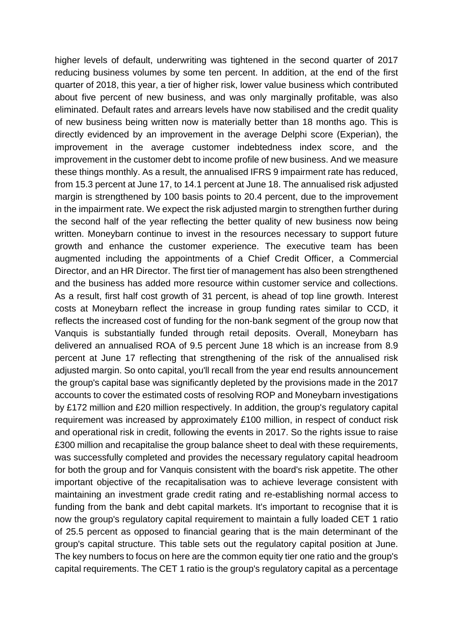higher levels of default, underwriting was tightened in the second quarter of 2017 reducing business volumes by some ten percent. In addition, at the end of the first quarter of 2018, this year, a tier of higher risk, lower value business which contributed about five percent of new business, and was only marginally profitable, was also eliminated. Default rates and arrears levels have now stabilised and the credit quality of new business being written now is materially better than 18 months ago. This is directly evidenced by an improvement in the average Delphi score (Experian), the improvement in the average customer indebtedness index score, and the improvement in the customer debt to income profile of new business. And we measure these things monthly. As a result, the annualised IFRS 9 impairment rate has reduced, from 15.3 percent at June 17, to 14.1 percent at June 18. The annualised risk adjusted margin is strengthened by 100 basis points to 20.4 percent, due to the improvement in the impairment rate. We expect the risk adjusted margin to strengthen further during the second half of the year reflecting the better quality of new business now being written. Moneybarn continue to invest in the resources necessary to support future growth and enhance the customer experience. The executive team has been augmented including the appointments of a Chief Credit Officer, a Commercial Director, and an HR Director. The first tier of management has also been strengthened and the business has added more resource within customer service and collections. As a result, first half cost growth of 31 percent, is ahead of top line growth. Interest costs at Moneybarn reflect the increase in group funding rates similar to CCD, it reflects the increased cost of funding for the non-bank segment of the group now that Vanquis is substantially funded through retail deposits. Overall, Moneybarn has delivered an annualised ROA of 9.5 percent June 18 which is an increase from 8.9 percent at June 17 reflecting that strengthening of the risk of the annualised risk adjusted margin. So onto capital, you'll recall from the year end results announcement the group's capital base was significantly depleted by the provisions made in the 2017 accounts to cover the estimated costs of resolving ROP and Moneybarn investigations by £172 million and £20 million respectively. In addition, the group's regulatory capital requirement was increased by approximately £100 million, in respect of conduct risk and operational risk in credit, following the events in 2017. So the rights issue to raise £300 million and recapitalise the group balance sheet to deal with these requirements, was successfully completed and provides the necessary regulatory capital headroom for both the group and for Vanquis consistent with the board's risk appetite. The other important objective of the recapitalisation was to achieve leverage consistent with maintaining an investment grade credit rating and re-establishing normal access to funding from the bank and debt capital markets. It's important to recognise that it is now the group's regulatory capital requirement to maintain a fully loaded CET 1 ratio of 25.5 percent as opposed to financial gearing that is the main determinant of the group's capital structure. This table sets out the regulatory capital position at June. The key numbers to focus on here are the common equity tier one ratio and the group's capital requirements. The CET 1 ratio is the group's regulatory capital as a percentage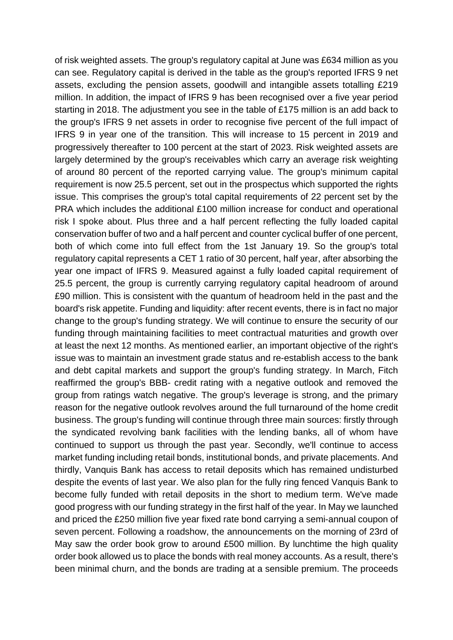of risk weighted assets. The group's regulatory capital at June was £634 million as you can see. Regulatory capital is derived in the table as the group's reported IFRS 9 net assets, excluding the pension assets, goodwill and intangible assets totalling £219 million. In addition, the impact of IFRS 9 has been recognised over a five year period starting in 2018. The adjustment you see in the table of £175 million is an add back to the group's IFRS 9 net assets in order to recognise five percent of the full impact of IFRS 9 in year one of the transition. This will increase to 15 percent in 2019 and progressively thereafter to 100 percent at the start of 2023. Risk weighted assets are largely determined by the group's receivables which carry an average risk weighting of around 80 percent of the reported carrying value. The group's minimum capital requirement is now 25.5 percent, set out in the prospectus which supported the rights issue. This comprises the group's total capital requirements of 22 percent set by the PRA which includes the additional £100 million increase for conduct and operational risk I spoke about. Plus three and a half percent reflecting the fully loaded capital conservation buffer of two and a half percent and counter cyclical buffer of one percent, both of which come into full effect from the 1st January 19. So the group's total regulatory capital represents a CET 1 ratio of 30 percent, half year, after absorbing the year one impact of IFRS 9. Measured against a fully loaded capital requirement of 25.5 percent, the group is currently carrying regulatory capital headroom of around £90 million. This is consistent with the quantum of headroom held in the past and the board's risk appetite. Funding and liquidity: after recent events, there is in fact no major change to the group's funding strategy. We will continue to ensure the security of our funding through maintaining facilities to meet contractual maturities and growth over at least the next 12 months. As mentioned earlier, an important objective of the right's issue was to maintain an investment grade status and re-establish access to the bank and debt capital markets and support the group's funding strategy. In March, Fitch reaffirmed the group's BBB- credit rating with a negative outlook and removed the group from ratings watch negative. The group's leverage is strong, and the primary reason for the negative outlook revolves around the full turnaround of the home credit business. The group's funding will continue through three main sources: firstly through the syndicated revolving bank facilities with the lending banks, all of whom have continued to support us through the past year. Secondly, we'll continue to access market funding including retail bonds, institutional bonds, and private placements. And thirdly, Vanquis Bank has access to retail deposits which has remained undisturbed despite the events of last year. We also plan for the fully ring fenced Vanquis Bank to become fully funded with retail deposits in the short to medium term. We've made good progress with our funding strategy in the first half of the year. In May we launched and priced the £250 million five year fixed rate bond carrying a semi-annual coupon of seven percent. Following a roadshow, the announcements on the morning of 23rd of May saw the order book grow to around £500 million. By lunchtime the high quality order book allowed us to place the bonds with real money accounts. As a result, there's been minimal churn, and the bonds are trading at a sensible premium. The proceeds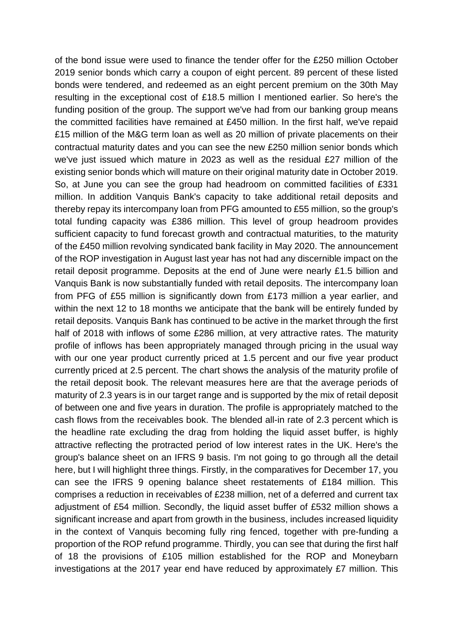of the bond issue were used to finance the tender offer for the £250 million October 2019 senior bonds which carry a coupon of eight percent. 89 percent of these listed bonds were tendered, and redeemed as an eight percent premium on the 30th May resulting in the exceptional cost of £18.5 million I mentioned earlier. So here's the funding position of the group. The support we've had from our banking group means the committed facilities have remained at £450 million. In the first half, we've repaid £15 million of the M&G term loan as well as 20 million of private placements on their contractual maturity dates and you can see the new £250 million senior bonds which we've just issued which mature in 2023 as well as the residual £27 million of the existing senior bonds which will mature on their original maturity date in October 2019. So, at June you can see the group had headroom on committed facilities of £331 million. In addition Vanquis Bank's capacity to take additional retail deposits and thereby repay its intercompany loan from PFG amounted to £55 million, so the group's total funding capacity was £386 million. This level of group headroom provides sufficient capacity to fund forecast growth and contractual maturities, to the maturity of the £450 million revolving syndicated bank facility in May 2020. The announcement of the ROP investigation in August last year has not had any discernible impact on the retail deposit programme. Deposits at the end of June were nearly £1.5 billion and Vanquis Bank is now substantially funded with retail deposits. The intercompany loan from PFG of £55 million is significantly down from £173 million a year earlier, and within the next 12 to 18 months we anticipate that the bank will be entirely funded by retail deposits. Vanquis Bank has continued to be active in the market through the first half of 2018 with inflows of some £286 million, at very attractive rates. The maturity profile of inflows has been appropriately managed through pricing in the usual way with our one year product currently priced at 1.5 percent and our five year product currently priced at 2.5 percent. The chart shows the analysis of the maturity profile of the retail deposit book. The relevant measures here are that the average periods of maturity of 2.3 years is in our target range and is supported by the mix of retail deposit of between one and five years in duration. The profile is appropriately matched to the cash flows from the receivables book. The blended all-in rate of 2.3 percent which is the headline rate excluding the drag from holding the liquid asset buffer, is highly attractive reflecting the protracted period of low interest rates in the UK. Here's the group's balance sheet on an IFRS 9 basis. I'm not going to go through all the detail here, but I will highlight three things. Firstly, in the comparatives for December 17, you can see the IFRS 9 opening balance sheet restatements of £184 million. This comprises a reduction in receivables of £238 million, net of a deferred and current tax adjustment of £54 million. Secondly, the liquid asset buffer of £532 million shows a significant increase and apart from growth in the business, includes increased liquidity in the context of Vanquis becoming fully ring fenced, together with pre-funding a proportion of the ROP refund programme. Thirdly, you can see that during the first half of 18 the provisions of £105 million established for the ROP and Moneybarn investigations at the 2017 year end have reduced by approximately £7 million. This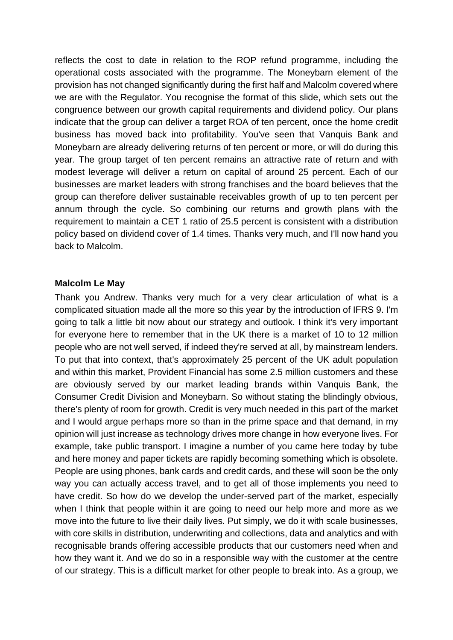reflects the cost to date in relation to the ROP refund programme, including the operational costs associated with the programme. The Moneybarn element of the provision has not changed significantly during the first half and Malcolm covered where we are with the Regulator. You recognise the format of this slide, which sets out the congruence between our growth capital requirements and dividend policy. Our plans indicate that the group can deliver a target ROA of ten percent, once the home credit business has moved back into profitability. You've seen that Vanquis Bank and Moneybarn are already delivering returns of ten percent or more, or will do during this year. The group target of ten percent remains an attractive rate of return and with modest leverage will deliver a return on capital of around 25 percent. Each of our businesses are market leaders with strong franchises and the board believes that the group can therefore deliver sustainable receivables growth of up to ten percent per annum through the cycle. So combining our returns and growth plans with the requirement to maintain a CET 1 ratio of 25.5 percent is consistent with a distribution policy based on dividend cover of 1.4 times. Thanks very much, and I'll now hand you back to Malcolm.

## **Malcolm Le May**

Thank you Andrew. Thanks very much for a very clear articulation of what is a complicated situation made all the more so this year by the introduction of IFRS 9. I'm going to talk a little bit now about our strategy and outlook. I think it's very important for everyone here to remember that in the UK there is a market of 10 to 12 million people who are not well served, if indeed they're served at all, by mainstream lenders. To put that into context, that's approximately 25 percent of the UK adult population and within this market, Provident Financial has some 2.5 million customers and these are obviously served by our market leading brands within Vanquis Bank, the Consumer Credit Division and Moneybarn. So without stating the blindingly obvious, there's plenty of room for growth. Credit is very much needed in this part of the market and I would argue perhaps more so than in the prime space and that demand, in my opinion will just increase as technology drives more change in how everyone lives. For example, take public transport. I imagine a number of you came here today by tube and here money and paper tickets are rapidly becoming something which is obsolete. People are using phones, bank cards and credit cards, and these will soon be the only way you can actually access travel, and to get all of those implements you need to have credit. So how do we develop the under-served part of the market, especially when I think that people within it are going to need our help more and more as we move into the future to live their daily lives. Put simply, we do it with scale businesses, with core skills in distribution, underwriting and collections, data and analytics and with recognisable brands offering accessible products that our customers need when and how they want it. And we do so in a responsible way with the customer at the centre of our strategy. This is a difficult market for other people to break into. As a group, we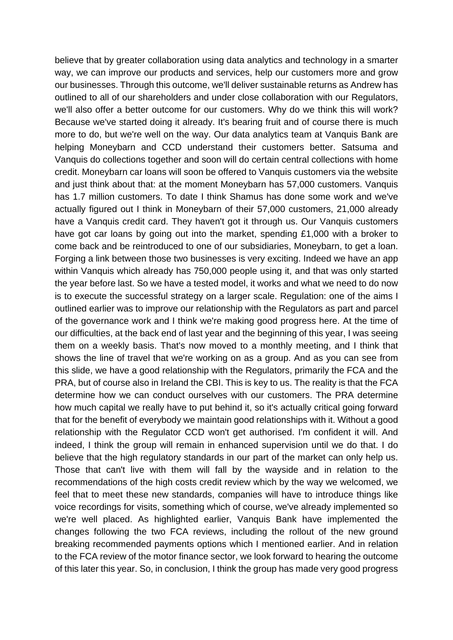believe that by greater collaboration using data analytics and technology in a smarter way, we can improve our products and services, help our customers more and grow our businesses. Through this outcome, we'll deliver sustainable returns as Andrew has outlined to all of our shareholders and under close collaboration with our Regulators, we'll also offer a better outcome for our customers. Why do we think this will work? Because we've started doing it already. It's bearing fruit and of course there is much more to do, but we're well on the way. Our data analytics team at Vanquis Bank are helping Moneybarn and CCD understand their customers better. Satsuma and Vanquis do collections together and soon will do certain central collections with home credit. Moneybarn car loans will soon be offered to Vanquis customers via the website and just think about that: at the moment Moneybarn has 57,000 customers. Vanquis has 1.7 million customers. To date I think Shamus has done some work and we've actually figured out I think in Moneybarn of their 57,000 customers, 21,000 already have a Vanquis credit card. They haven't got it through us. Our Vanquis customers have got car loans by going out into the market, spending £1,000 with a broker to come back and be reintroduced to one of our subsidiaries, Moneybarn, to get a loan. Forging a link between those two businesses is very exciting. Indeed we have an app within Vanquis which already has 750,000 people using it, and that was only started the year before last. So we have a tested model, it works and what we need to do now is to execute the successful strategy on a larger scale. Regulation: one of the aims I outlined earlier was to improve our relationship with the Regulators as part and parcel of the governance work and I think we're making good progress here. At the time of our difficulties, at the back end of last year and the beginning of this year, I was seeing them on a weekly basis. That's now moved to a monthly meeting, and I think that shows the line of travel that we're working on as a group. And as you can see from this slide, we have a good relationship with the Regulators, primarily the FCA and the PRA, but of course also in Ireland the CBI. This is key to us. The reality is that the FCA determine how we can conduct ourselves with our customers. The PRA determine how much capital we really have to put behind it, so it's actually critical going forward that for the benefit of everybody we maintain good relationships with it. Without a good relationship with the Regulator CCD won't get authorised. I'm confident it will. And indeed, I think the group will remain in enhanced supervision until we do that. I do believe that the high regulatory standards in our part of the market can only help us. Those that can't live with them will fall by the wayside and in relation to the recommendations of the high costs credit review which by the way we welcomed, we feel that to meet these new standards, companies will have to introduce things like voice recordings for visits, something which of course, we've already implemented so we're well placed. As highlighted earlier, Vanquis Bank have implemented the changes following the two FCA reviews, including the rollout of the new ground breaking recommended payments options which I mentioned earlier. And in relation to the FCA review of the motor finance sector, we look forward to hearing the outcome of this later this year. So, in conclusion, I think the group has made very good progress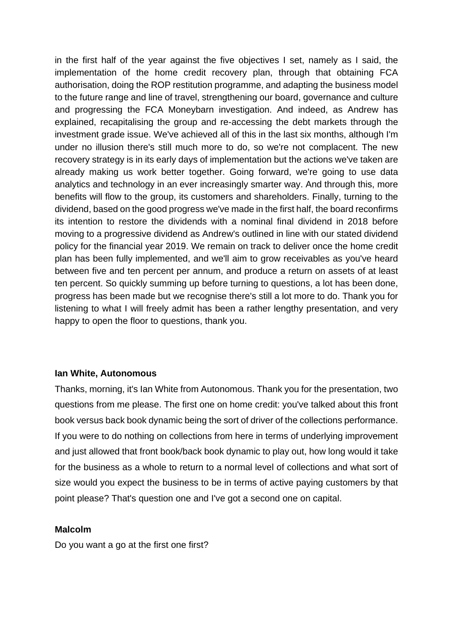in the first half of the year against the five objectives I set, namely as I said, the implementation of the home credit recovery plan, through that obtaining FCA authorisation, doing the ROP restitution programme, and adapting the business model to the future range and line of travel, strengthening our board, governance and culture and progressing the FCA Moneybarn investigation. And indeed, as Andrew has explained, recapitalising the group and re-accessing the debt markets through the investment grade issue. We've achieved all of this in the last six months, although I'm under no illusion there's still much more to do, so we're not complacent. The new recovery strategy is in its early days of implementation but the actions we've taken are already making us work better together. Going forward, we're going to use data analytics and technology in an ever increasingly smarter way. And through this, more benefits will flow to the group, its customers and shareholders. Finally, turning to the dividend, based on the good progress we've made in the first half, the board reconfirms its intention to restore the dividends with a nominal final dividend in 2018 before moving to a progressive dividend as Andrew's outlined in line with our stated dividend policy for the financial year 2019. We remain on track to deliver once the home credit plan has been fully implemented, and we'll aim to grow receivables as you've heard between five and ten percent per annum, and produce a return on assets of at least ten percent. So quickly summing up before turning to questions, a lot has been done, progress has been made but we recognise there's still a lot more to do. Thank you for listening to what I will freely admit has been a rather lengthy presentation, and very happy to open the floor to questions, thank you.

## **Ian White, Autonomous**

Thanks, morning, it's Ian White from Autonomous. Thank you for the presentation, two questions from me please. The first one on home credit: you've talked about this front book versus back book dynamic being the sort of driver of the collections performance. If you were to do nothing on collections from here in terms of underlying improvement and just allowed that front book/back book dynamic to play out, how long would it take for the business as a whole to return to a normal level of collections and what sort of size would you expect the business to be in terms of active paying customers by that point please? That's question one and I've got a second one on capital.

### **Malcolm**

Do you want a go at the first one first?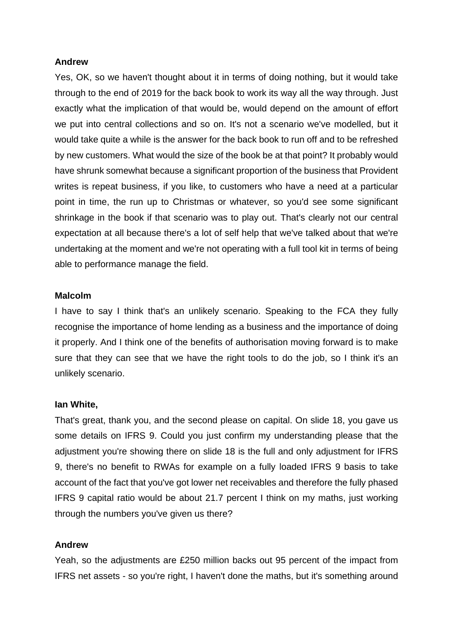### **Andrew**

Yes, OK, so we haven't thought about it in terms of doing nothing, but it would take through to the end of 2019 for the back book to work its way all the way through. Just exactly what the implication of that would be, would depend on the amount of effort we put into central collections and so on. It's not a scenario we've modelled, but it would take quite a while is the answer for the back book to run off and to be refreshed by new customers. What would the size of the book be at that point? It probably would have shrunk somewhat because a significant proportion of the business that Provident writes is repeat business, if you like, to customers who have a need at a particular point in time, the run up to Christmas or whatever, so you'd see some significant shrinkage in the book if that scenario was to play out. That's clearly not our central expectation at all because there's a lot of self help that we've talked about that we're undertaking at the moment and we're not operating with a full tool kit in terms of being able to performance manage the field.

### **Malcolm**

I have to say I think that's an unlikely scenario. Speaking to the FCA they fully recognise the importance of home lending as a business and the importance of doing it properly. And I think one of the benefits of authorisation moving forward is to make sure that they can see that we have the right tools to do the job, so I think it's an unlikely scenario.

### **Ian White,**

That's great, thank you, and the second please on capital. On slide 18, you gave us some details on IFRS 9. Could you just confirm my understanding please that the adjustment you're showing there on slide 18 is the full and only adjustment for IFRS 9, there's no benefit to RWAs for example on a fully loaded IFRS 9 basis to take account of the fact that you've got lower net receivables and therefore the fully phased IFRS 9 capital ratio would be about 21.7 percent I think on my maths, just working through the numbers you've given us there?

## **Andrew**

Yeah, so the adjustments are £250 million backs out 95 percent of the impact from IFRS net assets - so you're right, I haven't done the maths, but it's something around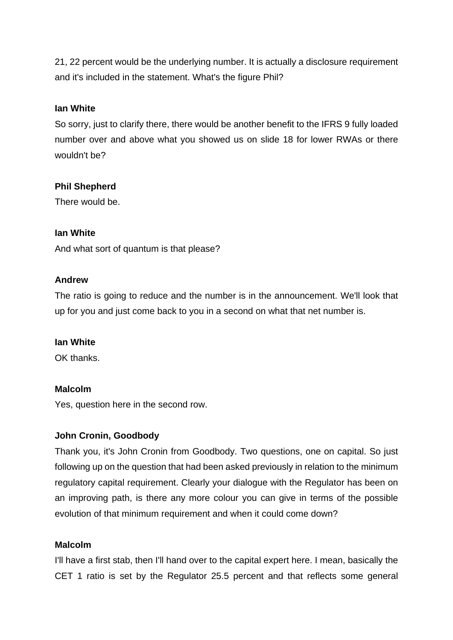21, 22 percent would be the underlying number. It is actually a disclosure requirement and it's included in the statement. What's the figure Phil?

## **Ian White**

So sorry, just to clarify there, there would be another benefit to the IFRS 9 fully loaded number over and above what you showed us on slide 18 for lower RWAs or there wouldn't be?

## **Phil Shepherd**

There would be.

## **Ian White**

And what sort of quantum is that please?

## **Andrew**

The ratio is going to reduce and the number is in the announcement. We'll look that up for you and just come back to you in a second on what that net number is.

# **Ian White**

OK thanks.

# **Malcolm**

Yes, question here in the second row.

# **John Cronin, Goodbody**

Thank you, it's John Cronin from Goodbody. Two questions, one on capital. So just following up on the question that had been asked previously in relation to the minimum regulatory capital requirement. Clearly your dialogue with the Regulator has been on an improving path, is there any more colour you can give in terms of the possible evolution of that minimum requirement and when it could come down?

## **Malcolm**

I'll have a first stab, then I'll hand over to the capital expert here. I mean, basically the CET 1 ratio is set by the Regulator 25.5 percent and that reflects some general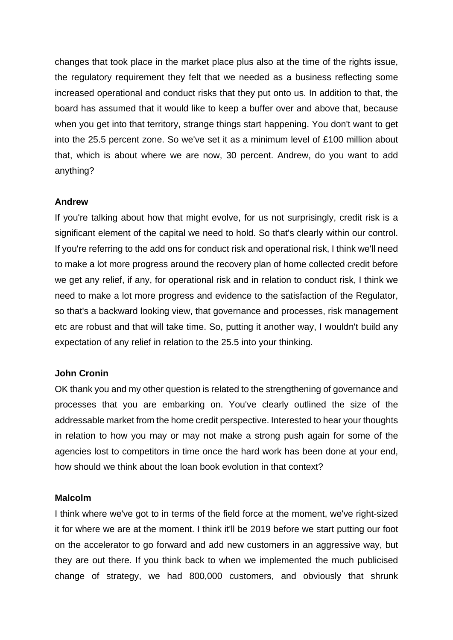changes that took place in the market place plus also at the time of the rights issue, the regulatory requirement they felt that we needed as a business reflecting some increased operational and conduct risks that they put onto us. In addition to that, the board has assumed that it would like to keep a buffer over and above that, because when you get into that territory, strange things start happening. You don't want to get into the 25.5 percent zone. So we've set it as a minimum level of £100 million about that, which is about where we are now, 30 percent. Andrew, do you want to add anything?

## **Andrew**

If you're talking about how that might evolve, for us not surprisingly, credit risk is a significant element of the capital we need to hold. So that's clearly within our control. If you're referring to the add ons for conduct risk and operational risk, I think we'll need to make a lot more progress around the recovery plan of home collected credit before we get any relief, if any, for operational risk and in relation to conduct risk, I think we need to make a lot more progress and evidence to the satisfaction of the Regulator, so that's a backward looking view, that governance and processes, risk management etc are robust and that will take time. So, putting it another way, I wouldn't build any expectation of any relief in relation to the 25.5 into your thinking.

### **John Cronin**

OK thank you and my other question is related to the strengthening of governance and processes that you are embarking on. You've clearly outlined the size of the addressable market from the home credit perspective. Interested to hear your thoughts in relation to how you may or may not make a strong push again for some of the agencies lost to competitors in time once the hard work has been done at your end, how should we think about the loan book evolution in that context?

### **Malcolm**

I think where we've got to in terms of the field force at the moment, we've right-sized it for where we are at the moment. I think it'll be 2019 before we start putting our foot on the accelerator to go forward and add new customers in an aggressive way, but they are out there. If you think back to when we implemented the much publicised change of strategy, we had 800,000 customers, and obviously that shrunk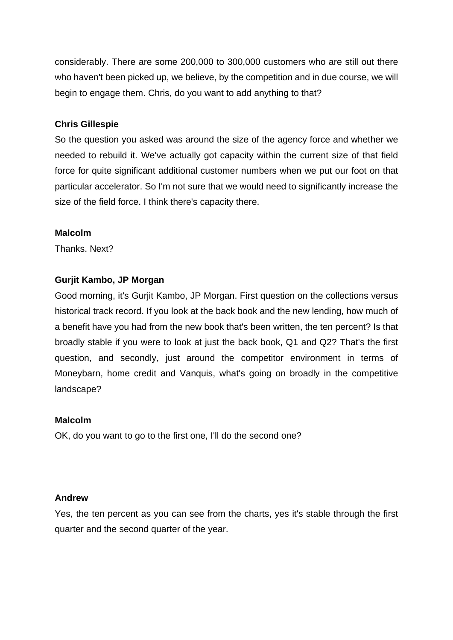considerably. There are some 200,000 to 300,000 customers who are still out there who haven't been picked up, we believe, by the competition and in due course, we will begin to engage them. Chris, do you want to add anything to that?

## **Chris Gillespie**

So the question you asked was around the size of the agency force and whether we needed to rebuild it. We've actually got capacity within the current size of that field force for quite significant additional customer numbers when we put our foot on that particular accelerator. So I'm not sure that we would need to significantly increase the size of the field force. I think there's capacity there.

## **Malcolm**

Thanks. Next?

# **Gurjit Kambo, JP Morgan**

Good morning, it's Gurjit Kambo, JP Morgan. First question on the collections versus historical track record. If you look at the back book and the new lending, how much of a benefit have you had from the new book that's been written, the ten percent? Is that broadly stable if you were to look at just the back book, Q1 and Q2? That's the first question, and secondly, just around the competitor environment in terms of Moneybarn, home credit and Vanquis, what's going on broadly in the competitive landscape?

## **Malcolm**

OK, do you want to go to the first one, I'll do the second one?

## **Andrew**

Yes, the ten percent as you can see from the charts, yes it's stable through the first quarter and the second quarter of the year.